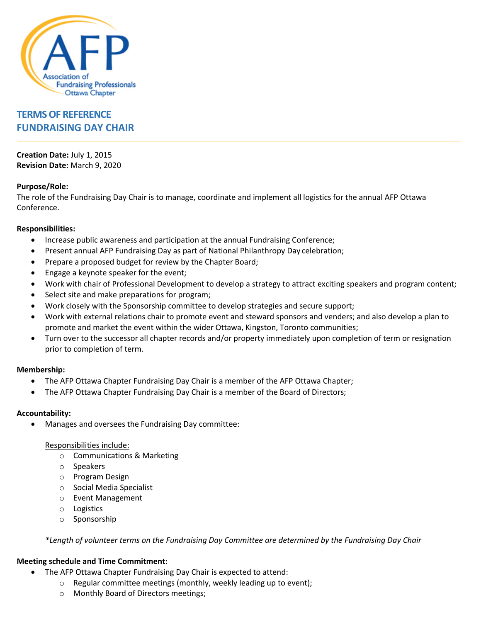

# **TERMS OF REFERENCE FUNDRAISING DAY CHAIR**

**Creation Date:** July 1, 2015 **Revision Date:** March 9, 2020

## **Purpose/Role:**

The role of the Fundraising Day Chair is to manage, coordinate and implement all logistics for the annual AFP Ottawa Conference.

#### **Responsibilities:**

- Increase public awareness and participation at the annual Fundraising Conference;
- Present annual AFP Fundraising Day as part of National Philanthropy Day celebration;
- Prepare a proposed budget for review by the Chapter Board;
- Engage a keynote speaker for the event;
- Work with chair of Professional Development to develop a strategy to attract exciting speakers and program content;
- Select site and make preparations for program;
- Work closely with the Sponsorship committee to develop strategies and secure support;
- Work with external relations chair to promote event and steward sponsors and venders; and also develop a plan to promote and market the event within the wider Ottawa, Kingston, Toronto communities;
- Turn over to the successor all chapter records and/or property immediately upon completion of term or resignation prior to completion of term.

#### **Membership:**

- The AFP Ottawa Chapter Fundraising Day Chair is a member of the AFP Ottawa Chapter;
- The AFP Ottawa Chapter Fundraising Day Chair is a member of the Board of Directors;

#### **Accountability:**

• Manages and oversees the Fundraising Day committee:

#### Responsibilities include:

- o Communications & Marketing
- o Speakers
- o Program Design
- o Social Media Specialist
- o Event Management
- o Logistics
- o Sponsorship

*\*Length of volunteer terms on the Fundraising Day Committee are determined by the Fundraising Day Chair*

#### **Meeting schedule and Time Commitment:**

- The AFP Ottawa Chapter Fundraising Day Chair is expected to attend:
	- o Regular committee meetings (monthly, weekly leading up to event);
	- o Monthly Board of Directors meetings;